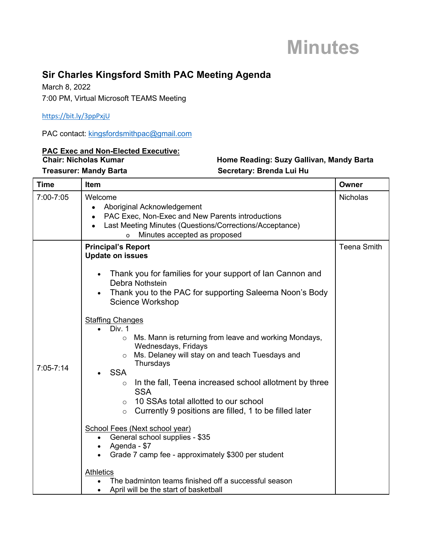### **Minutes**

### **Sir Charles Kingsford Smith PAC Meeting Agenda**

March 8, 2022 7:00 PM, Virtual Microsoft TEAMS Meeting

https://bit.ly/3ppPxjU

PAC contact: kingsfordsmithpac@gmail.com

### **PAC Exec and Non-Elected Executive:**

### **Treasurer: Mandy Barta** Secretary: Brenda Lui Hu

### **Home Reading: Suzy Gallivan, Mandy Barta**

| <b>Time</b>   | Item                                                                                                                                                                                                                                                                                                                                                                                                                                                                                                                                                                                                                                                                                                                                                                                                                                                                                                                                             | <b>Owner</b>       |
|---------------|--------------------------------------------------------------------------------------------------------------------------------------------------------------------------------------------------------------------------------------------------------------------------------------------------------------------------------------------------------------------------------------------------------------------------------------------------------------------------------------------------------------------------------------------------------------------------------------------------------------------------------------------------------------------------------------------------------------------------------------------------------------------------------------------------------------------------------------------------------------------------------------------------------------------------------------------------|--------------------|
| 7:00-7:05     | Welcome<br>Aboriginal Acknowledgement<br>PAC Exec, Non-Exec and New Parents introductions<br>Last Meeting Minutes (Questions/Corrections/Acceptance)<br>Minutes accepted as proposed<br>$\Omega$                                                                                                                                                                                                                                                                                                                                                                                                                                                                                                                                                                                                                                                                                                                                                 | <b>Nicholas</b>    |
| $7:05 - 7:14$ | <b>Principal's Report</b><br><b>Update on issues</b><br>Thank you for families for your support of lan Cannon and<br>Debra Nothstein<br>Thank you to the PAC for supporting Saleema Noon's Body<br><b>Science Workshop</b><br><b>Staffing Changes</b><br>Div. 1<br>o Ms. Mann is returning from leave and working Mondays,<br>Wednesdays, Fridays<br>Ms. Delaney will stay on and teach Tuesdays and<br>Thursdays<br><b>SSA</b><br>In the fall, Teena increased school allotment by three<br>$\circ$<br><b>SSA</b><br>10 SSAs total allotted to our school<br>$\circ$<br>Currently 9 positions are filled, 1 to be filled later<br>$\circ$<br>School Fees (Next school year)<br>General school supplies - \$35<br>$\bullet$<br>Agenda - \$7<br>$\bullet$<br>Grade 7 camp fee - approximately \$300 per student<br><b>Athletics</b><br>The badminton teams finished off a successful season<br>April will be the start of basketball<br>$\bullet$ | <b>Teena Smith</b> |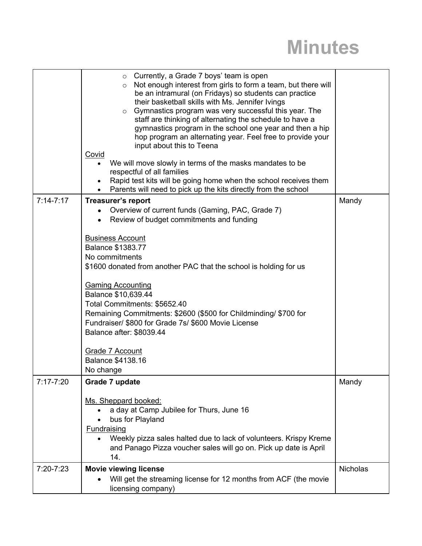# **Minutes**

|             | $\circ$ Currently, a Grade 7 boys' team is open<br>Not enough interest from girls to form a team, but there will<br>$\circ$<br>be an intramural (on Fridays) so students can practice<br>their basketball skills with Ms. Jennifer Ivings<br>Gymnastics program was very successful this year. The<br>$\circ$<br>staff are thinking of alternating the schedule to have a<br>gymnastics program in the school one year and then a hip<br>hop program an alternating year. Feel free to provide your<br>input about this to Teena<br>Covid<br>We will move slowly in terms of the masks mandates to be<br>respectful of all families<br>Rapid test kits will be going home when the school receives them<br>Parents will need to pick up the kits directly from the school |                 |
|-------------|---------------------------------------------------------------------------------------------------------------------------------------------------------------------------------------------------------------------------------------------------------------------------------------------------------------------------------------------------------------------------------------------------------------------------------------------------------------------------------------------------------------------------------------------------------------------------------------------------------------------------------------------------------------------------------------------------------------------------------------------------------------------------|-----------------|
| $7:14-7:17$ | <b>Treasurer's report</b>                                                                                                                                                                                                                                                                                                                                                                                                                                                                                                                                                                                                                                                                                                                                                 | Mandy           |
|             | Overview of current funds (Gaming, PAC, Grade 7)<br>Review of budget commitments and funding                                                                                                                                                                                                                                                                                                                                                                                                                                                                                                                                                                                                                                                                              |                 |
|             | <b>Business Account</b><br><b>Balance \$1383.77</b><br>No commitments<br>\$1600 donated from another PAC that the school is holding for us<br><b>Gaming Accounting</b><br>Balance \$10,639.44<br>Total Commitments: \$5652.40<br>Remaining Commitments: \$2600 (\$500 for Childminding/ \$700 for<br>Fundraiser/ \$800 for Grade 7s/ \$600 Movie License<br>Balance after: \$8039.44<br>Grade 7 Account<br><b>Balance \$4138.16</b><br>No change                                                                                                                                                                                                                                                                                                                          |                 |
| 7:17-7:20   | Grade 7 update                                                                                                                                                                                                                                                                                                                                                                                                                                                                                                                                                                                                                                                                                                                                                            | Mandy           |
|             | Ms. Sheppard booked:<br>a day at Camp Jubilee for Thurs, June 16<br>bus for Playland<br><b>Fundraising</b><br>Weekly pizza sales halted due to lack of volunteers. Krispy Kreme<br>and Panago Pizza voucher sales will go on. Pick up date is April<br>14.                                                                                                                                                                                                                                                                                                                                                                                                                                                                                                                |                 |
| 7:20-7:23   | <b>Movie viewing license</b>                                                                                                                                                                                                                                                                                                                                                                                                                                                                                                                                                                                                                                                                                                                                              | <b>Nicholas</b> |
|             | Will get the streaming license for 12 months from ACF (the movie<br>licensing company)                                                                                                                                                                                                                                                                                                                                                                                                                                                                                                                                                                                                                                                                                    |                 |